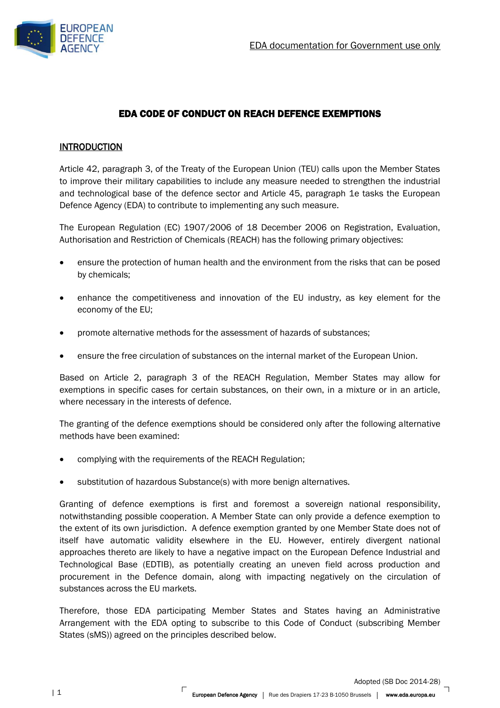

# EDA CODE OF CONDUCT ON REACH DEFENCE EXEMPTIONS

# **INTRODUCTION**

Article 42, paragraph 3, of the Treaty of the European Union (TEU) calls upon the Member States to improve their military capabilities to include any measure needed to strengthen the industrial and technological base of the defence sector and Article 45, paragraph 1e tasks the European Defence Agency (EDA) to contribute to implementing any such measure.

The European Regulation (EC) 1907/2006 of 18 December 2006 on Registration, Evaluation, Authorisation and Restriction of Chemicals (REACH) has the following primary objectives:

- ensure the protection of human health and the environment from the risks that can be posed by chemicals;
- enhance the competitiveness and innovation of the EU industry, as key element for the economy of the EU;
- promote alternative methods for the assessment of hazards of substances;
- ensure the free circulation of substances on the internal market of the European Union.

Based on Article 2, paragraph 3 of the REACH Regulation, Member States may allow for exemptions in specific cases for certain substances, on their own, in a mixture or in an article, where necessary in the interests of defence.

The granting of the defence exemptions should be considered only after the following alternative methods have been examined:

- complying with the requirements of the REACH Regulation;
- substitution of hazardous Substance(s) with more benign alternatives.

Granting of defence exemptions is first and foremost a sovereign national responsibility, notwithstanding possible cooperation. A Member State can only provide a defence exemption to the extent of its own jurisdiction. A defence exemption granted by one Member State does not of itself have automatic validity elsewhere in the EU. However, entirely divergent national approaches thereto are likely to have a negative impact on the European Defence Industrial and Technological Base (EDTIB), as potentially creating an uneven field across production and procurement in the Defence domain, along with impacting negatively on the circulation of substances across the EU markets.

Therefore, those EDA participating Member States and States having an Administrative Arrangement with the EDA opting to subscribe to this Code of Conduct (subscribing Member States (sMS)) agreed on the principles described below.